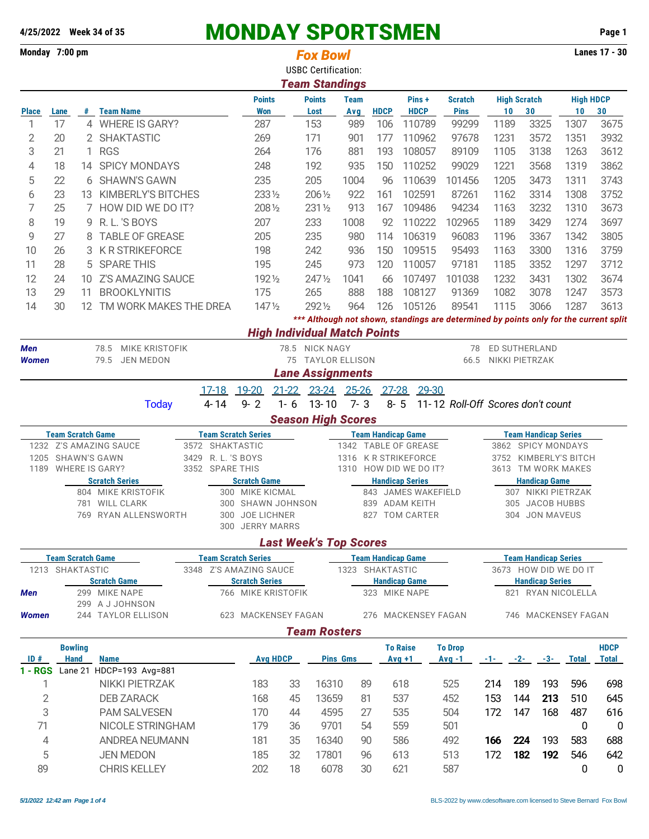| Monday 7:00 pm |                                                        |              |                                                 |  |                    |                                                      |                           | <b>Fox Bowl</b><br><b>USBC Certification:</b><br><b>Team Standings</b> |                                              |                             |                                                |                                                                                       |                                             |                             |       |                  | <b>Lanes 17 - 30</b> |  |  |
|----------------|--------------------------------------------------------|--------------|-------------------------------------------------|--|--------------------|------------------------------------------------------|---------------------------|------------------------------------------------------------------------|----------------------------------------------|-----------------------------|------------------------------------------------|---------------------------------------------------------------------------------------|---------------------------------------------|-----------------------------|-------|------------------|----------------------|--|--|
|                |                                                        |              |                                                 |  |                    | <b>Points</b>                                        |                           | <b>Points</b>                                                          | <b>Team</b>                                  |                             | Pins +                                         | <b>Scratch</b>                                                                        |                                             | <b>High Scratch</b>         |       | <b>High HDCP</b> |                      |  |  |
| <b>Place</b>   | Lane                                                   |              | # Team Name                                     |  |                    | <b>Won</b>                                           |                           | Lost                                                                   | Avg                                          | <b>HDCP</b>                 | <b>HDCP</b>                                    | <b>Pins</b>                                                                           | 10                                          | 30                          |       | 10               | 30                   |  |  |
| 1              | 17                                                     |              | 4 WHERE IS GARY?                                |  |                    | 287                                                  |                           | 153                                                                    | 989                                          | 106                         | 110789                                         | 99299                                                                                 | 1189                                        | 3325                        |       | 1307             | 3675                 |  |  |
| 2              | 20                                                     |              | 2 SHAKTASTIC                                    |  |                    | 269                                                  |                           | 171                                                                    | 901                                          | 177                         | 110962                                         | 97678                                                                                 | 1231                                        | 3572                        |       | 1351             | 3932                 |  |  |
| 3              | 21                                                     | $\mathbf{1}$ | <b>RGS</b>                                      |  |                    | 264                                                  |                           | 176<br>192                                                             | 881                                          | 193                         | 108057                                         | 89109                                                                                 | 1105                                        | 3138                        |       | 1263             | 3612                 |  |  |
| 4              | 18                                                     | 14           | <b>SPICY MONDAYS</b>                            |  |                    | 248                                                  |                           |                                                                        | 935                                          | 150                         | 110252                                         | 99029                                                                                 | 1221                                        | 3568                        |       | 1319             | 3862                 |  |  |
| 5              | 22                                                     |              | 6 SHAWN'S GAWN                                  |  |                    | 235                                                  |                           | 205                                                                    | 1004                                         | 96                          | 110639                                         | 101456                                                                                | 1205                                        | 3473                        |       | 1311             | 3743                 |  |  |
| 6              | 23                                                     |              | 13 KIMBERLY'S BITCHES                           |  |                    | 2331/2                                               |                           | 206 1/2                                                                | 922                                          | 161                         | 102591                                         | 87261                                                                                 | 1162                                        | 3314                        |       | 1308             | 3752                 |  |  |
| 7              | 25                                                     |              | 7 HOW DID WE DO IT?                             |  |                    | 2081/2                                               |                           | 231 1/2                                                                | 913                                          | 167                         | 109486                                         | 94234                                                                                 | 1163                                        | 3232                        |       | 1310             | 3673                 |  |  |
| 8              | 19                                                     |              | 9 R.L.'S BOYS                                   |  |                    | 207                                                  |                           | 233                                                                    | 1008                                         | 92                          | 110222                                         | 102965                                                                                | 1189                                        | 3429                        |       | 1274             | 3697                 |  |  |
| 9              | 27                                                     | 8            | <b>TABLE OF GREASE</b>                          |  |                    | 205                                                  |                           | 235                                                                    | 980                                          | 114                         | 106319                                         | 96083                                                                                 | 1196                                        | 3367                        |       | 1342             | 3805                 |  |  |
| 10             | 26                                                     | 3            | <b>K R STRIKEFORCE</b>                          |  |                    | 198                                                  |                           | 242                                                                    | 936                                          | 150                         | 109515                                         | 95493                                                                                 | 1163                                        | 3300                        |       | 1316             | 3759                 |  |  |
| 11             | 28                                                     |              | 5 SPARE THIS                                    |  |                    | 195                                                  |                           | 245                                                                    | 973                                          | 120                         | 110057                                         | 97181                                                                                 | 1185                                        | 3352                        |       | 1297             | 3712                 |  |  |
| 12             | 24                                                     | 10           | <b>Z'S AMAZING SAUCE</b>                        |  |                    | 1921/2                                               |                           | $247\frac{1}{2}$                                                       | 1041                                         | 66                          | 107497                                         | 101038                                                                                | 1232                                        | 3431                        |       | 1302             | 3674                 |  |  |
| 13             | 29                                                     | 11           | <b>BROOKLYNITIS</b>                             |  |                    | 175                                                  |                           | 265                                                                    | 888                                          | 188                         | 108127                                         | 91369                                                                                 | 1082                                        | 3078                        |       | 1247             | 3573                 |  |  |
| 14             | 30                                                     |              | 12 TM WORK MAKES THE DREA                       |  |                    | $147\frac{1}{2}$                                     |                           | 2921/2                                                                 | 964                                          | 126                         | 105126                                         | 89541                                                                                 | 1115                                        | 3066                        |       | 1287             | 3613                 |  |  |
|                |                                                        |              |                                                 |  |                    |                                                      |                           | <b>High Individual Match Points</b>                                    |                                              |                             |                                                | *** Although not shown, standings are determined by points only for the current split |                                             |                             |       |                  |                      |  |  |
| Men            |                                                        |              | MIKE KRISTOFIK<br>78.5                          |  |                    |                                                      |                           | 78.5 NICK NAGY                                                         |                                              |                             |                                                | 78                                                                                    | ED SUTHERLAND                               |                             |       |                  |                      |  |  |
| Women          |                                                        |              | 79.5<br><b>JEN MEDON</b>                        |  |                    |                                                      |                           | 75 TAYLOR ELLISON                                                      |                                              |                             |                                                | 66.5                                                                                  | NIKKI PIETRZAK                              |                             |       |                  |                      |  |  |
|                |                                                        |              |                                                 |  |                    |                                                      |                           | <b>Lane Assignments</b>                                                |                                              |                             |                                                |                                                                                       |                                             |                             |       |                  |                      |  |  |
|                |                                                        |              |                                                 |  | $17-18$            | 19-20                                                |                           | 21-22 23-24 25-26                                                      |                                              | $27 - 28$                   | 29-30                                          |                                                                                       |                                             |                             |       |                  |                      |  |  |
|                |                                                        |              | <b>Today</b>                                    |  | $4 - 14$           | $9 - 2$                                              | $1 - 6$                   | $13 - 10$                                                              | $7 - 3$                                      |                             | $8 - 5$                                        | 11-12 Roll-Off Scores don't count                                                     |                                             |                             |       |                  |                      |  |  |
|                |                                                        |              |                                                 |  |                    |                                                      |                           | <b>Season High Scores</b>                                              |                                              |                             |                                                |                                                                                       |                                             |                             |       |                  |                      |  |  |
|                | <b>Team Scratch Game</b><br><b>Team Scratch Series</b> |              |                                                 |  |                    |                                                      | <b>Team Handicap Game</b> |                                                                        |                                              |                             |                                                |                                                                                       |                                             | <b>Team Handicap Series</b> |       |                  |                      |  |  |
|                |                                                        |              | 1232 Z'S AMAZING SAUCE                          |  | 3572 SHAKTASTIC    |                                                      |                           |                                                                        | 1342                                         |                             | <b>TABLE OF GREASE</b>                         |                                                                                       | 3862 SPICY MONDAYS                          |                             |       |                  |                      |  |  |
| 1205           | <b>SHAWN'S GAWN</b>                                    |              | <b>WHERE IS GARY?</b>                           |  | 3429 R. L. 'S BOYS |                                                      |                           |                                                                        |                                              |                             | 1316 K R STRIKEFORCE<br>1310 HOW DID WE DO IT? |                                                                                       | 3752 KIMBERLY'S BITCH<br>3613 TM WORK MAKES |                             |       |                  |                      |  |  |
| 1189           |                                                        |              | <b>Scratch Series</b>                           |  | 3352 SPARE THIS    | <b>Scratch Game</b>                                  |                           |                                                                        |                                              |                             | <b>Handicap Series</b>                         |                                                                                       | <b>Handicap Game</b>                        |                             |       |                  |                      |  |  |
|                |                                                        |              | 804 MIKE KRISTOFIK                              |  |                    | 300 MIKE KICMAL                                      |                           |                                                                        |                                              |                             | 843 JAMES WAKEFIELD                            |                                                                                       | 307 NIKKI PIETRZAK                          |                             |       |                  |                      |  |  |
|                |                                                        |              | 781 WILL CLARK                                  |  |                    | 300 SHAWN JOHNSON                                    |                           |                                                                        |                                              |                             | 839 ADAM KEITH                                 | 305 JACOB HUBBS                                                                       |                                             |                             |       |                  |                      |  |  |
|                |                                                        |              | 769 RYAN ALLENSWORTH                            |  |                    | 300 JOE LICHNER                                      |                           |                                                                        |                                              |                             | 827 TOM CARTER                                 |                                                                                       | 304 JON MAVEUS                              |                             |       |                  |                      |  |  |
|                |                                                        |              |                                                 |  |                    | 300 JERRY MARRS                                      |                           |                                                                        |                                              |                             |                                                |                                                                                       |                                             |                             |       |                  |                      |  |  |
|                |                                                        |              |                                                 |  |                    |                                                      |                           | <b>Last Week's Top Scores</b>                                          |                                              |                             |                                                |                                                                                       |                                             |                             |       |                  |                      |  |  |
|                | <b>Team Scratch Game</b><br>1213 SHAKTASTIC            |              |                                                 |  |                    | <b>Team Scratch Series</b><br>3348 Z'S AMAZING SAUCE |                           |                                                                        | <b>Team Handicap Game</b><br>1323 SHAKTASTIC | <b>Team Handicap Series</b> |                                                |                                                                                       |                                             |                             |       |                  |                      |  |  |
|                |                                                        |              | <b>Scratch Game</b>                             |  |                    | <b>Scratch Series</b>                                |                           |                                                                        |                                              |                             | <b>Handicap Game</b>                           | 3673 HOW DID WE DO IT<br><b>Handicap Series</b>                                       |                                             |                             |       |                  |                      |  |  |
| Men            |                                                        |              | 299 MIKE NAPE                                   |  |                    | 766 MIKE KRISTOFIK                                   |                           |                                                                        |                                              |                             | 323 MIKE NAPE                                  |                                                                                       |                                             | 821 RYAN NICOLELLA          |       |                  |                      |  |  |
|                |                                                        |              | 299 A J JOHNSON                                 |  |                    |                                                      |                           |                                                                        |                                              |                             |                                                |                                                                                       |                                             |                             |       |                  |                      |  |  |
| <b>Women</b>   |                                                        |              | 244 TAYLOR ELLISON                              |  |                    | 623 MACKENSEY FAGAN                                  |                           |                                                                        |                                              |                             | 276 MACKENSEY FAGAN                            |                                                                                       |                                             | 746 MACKENSEY FAGAN         |       |                  |                      |  |  |
|                |                                                        |              |                                                 |  |                    |                                                      |                           | <b>Team Rosters</b>                                                    |                                              |                             |                                                |                                                                                       |                                             |                             |       |                  |                      |  |  |
|                | <b>Bowling</b>                                         |              |                                                 |  |                    |                                                      |                           |                                                                        |                                              |                             | <b>To Raise</b>                                | <b>To Drop</b>                                                                        |                                             |                             |       |                  | <b>HDCP</b>          |  |  |
| ID#            | <b>Hand</b>                                            |              | <b>Name</b><br>1 - RGS Lane 21 HDCP=193 Avg=881 |  |                    | <b>Avg HDCP</b>                                      |                           |                                                                        | <b>Pins Gms</b>                              |                             | $Avg +1$                                       | $Avg -1$                                                                              | $-1-$                                       | $-2-$                       | $-3-$ | <b>Total</b>     | <b>Total</b>         |  |  |
| 1              |                                                        |              | <b>NIKKI PIETRZAK</b>                           |  |                    | 183                                                  | 33                        | 16310                                                                  | 89                                           |                             | 618                                            | 525                                                                                   | 214                                         | 189                         | 193   | 596              | 698                  |  |  |
| $\overline{2}$ |                                                        |              | <b>DEB ZARACK</b>                               |  |                    | 168                                                  | 45                        | 13659                                                                  | 81                                           |                             | 537                                            | 452                                                                                   | 153                                         | 144                         | 213   | 510              | 645                  |  |  |
| 3              |                                                        |              | <b>PAM SALVESEN</b>                             |  |                    | 170                                                  | 44                        | 4595                                                                   | 27                                           |                             | 535                                            | 504                                                                                   | 172                                         | 147                         | 168   | 487              | 616                  |  |  |
| 71             |                                                        |              | NICOLE STRINGHAM                                |  |                    | 179                                                  | 36                        | 9701                                                                   | 54                                           |                             | 559                                            | 501                                                                                   |                                             |                             |       | 0                | 0                    |  |  |
| 4              |                                                        |              | ANDREA NEUMANN                                  |  |                    | 181                                                  | 35                        | 16340                                                                  | 90                                           |                             | 586                                            | 492                                                                                   | 166                                         | 224                         | 193   | 583              | 688                  |  |  |
| 5              |                                                        |              | <b>JEN MEDON</b>                                |  |                    | 185                                                  | 32                        | 17801                                                                  | 96                                           |                             | 613                                            | 513                                                                                   | 172                                         | 182                         | 192   | 546              | 642                  |  |  |
| 89             |                                                        |              | <b>CHRIS KELLEY</b>                             |  |                    | 202                                                  | 18                        | 6078                                                                   | 30                                           |                             | 621                                            | 587                                                                                   |                                             |                             |       | 0                | $\overline{0}$       |  |  |
|                |                                                        |              |                                                 |  |                    |                                                      |                           |                                                                        |                                              |                             |                                                |                                                                                       |                                             |                             |       |                  |                      |  |  |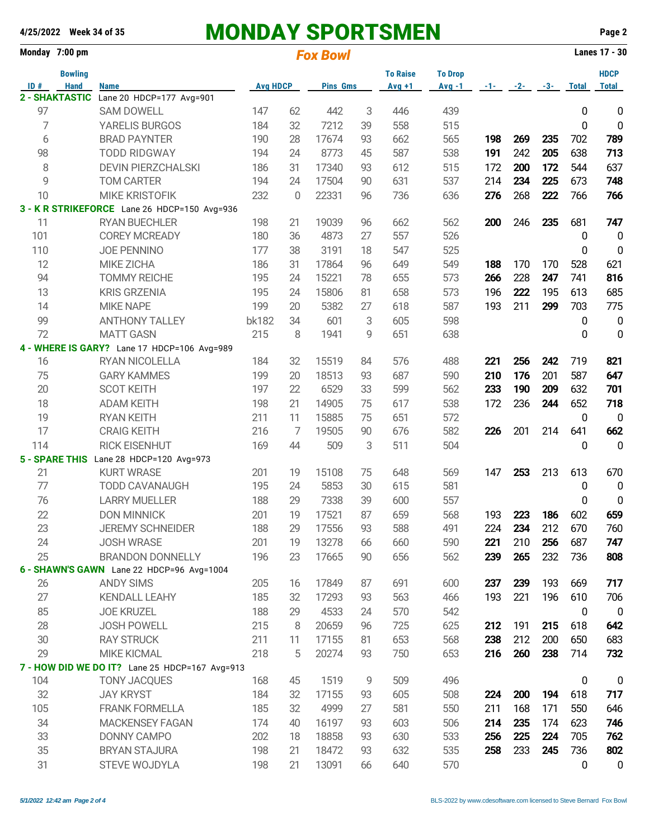|     | Monday 7:00 pm |                                                |                 |    | <b>Fox Bowl</b> |    |                 |                |          |       | Lanes 17 - 30 |              |                  |
|-----|----------------|------------------------------------------------|-----------------|----|-----------------|----|-----------------|----------------|----------|-------|---------------|--------------|------------------|
|     | <b>Bowling</b> |                                                |                 |    |                 |    | <b>To Raise</b> | <b>To Drop</b> |          |       |               |              | <b>HDCP</b>      |
| ID# | <b>Hand</b>    | <b>Name</b>                                    | <b>Avg HDCP</b> |    | <b>Pins Gms</b> |    | $Avg +1$        | $Avg -1$       | $-1 - 1$ | $-2-$ | $-3-$         | <b>Total</b> | <b>Total</b>     |
|     | 2 - SHAKTASTIC | Lane 20 HDCP=177 Avg=901                       |                 |    |                 |    |                 |                |          |       |               |              |                  |
| 97  |                | <b>SAM DOWELL</b>                              | 147             | 62 | 442             | 3  | 446             | 439            |          |       |               | 0            | $\bf{0}$         |
| 7   |                | YARELIS BURGOS                                 | 184             | 32 | 7212            | 39 | 558             | 515            |          |       |               | 0            | $\pmb{0}$        |
| 6   |                | <b>BRAD PAYNTER</b>                            | 190             | 28 | 17674           | 93 | 662             | 565            | 198      | 269   | 235           | 702          | 789              |
| 98  |                | <b>TODD RIDGWAY</b>                            | 194             | 24 | 8773            | 45 | 587             | 538            | 191      | 242   | 205           | 638          | 713              |
| 8   |                | <b>DEVIN PIERZCHALSKI</b>                      | 186             | 31 | 17340           | 93 | 612             | 515            | 172      | 200   | 172           | 544          | 637              |
| 9   |                | <b>TOM CARTER</b>                              | 194             | 24 | 17504           | 90 | 631             | 537            | 214      | 234   | 225           | 673          | 748              |
| 10  |                | <b>MIKE KRISTOFIK</b>                          | 232             | 0  | 22331           | 96 | 736             | 636            | 276      | 268   | 222           | 766          | 766              |
|     |                | 3 - K R STRIKEFORCE Lane 26 HDCP=150 Avg=936   |                 |    |                 |    |                 |                |          |       |               |              |                  |
| 11  |                | <b>RYAN BUECHLER</b>                           | 198             | 21 | 19039           | 96 | 662             | 562            | 200      | 246   | 235           | 681          | 747              |
| 101 |                | <b>COREY MCREADY</b>                           | 180             | 36 | 4873            | 27 | 557             | 526            |          |       |               | 0            | $\mathbf 0$      |
| 110 |                | <b>JOE PENNINO</b>                             | 177             | 38 | 3191            | 18 | 547             | 525            |          |       |               | 0            | $\mathbf 0$      |
| 12  |                | MIKE ZICHA                                     | 186             | 31 | 17864           | 96 | 649             | 549            | 188      | 170   | 170           | 528          | 621              |
| 94  |                | <b>TOMMY REICHE</b>                            | 195             | 24 | 15221           | 78 | 655             | 573            | 266      | 228   | 247           | 741          | 816              |
| 13  |                | <b>KRIS GRZENIA</b>                            | 195             | 24 | 15806           | 81 | 658             | 573            | 196      | 222   | 195           | 613          | 685              |
| 14  |                | <b>MIKE NAPE</b>                               | 199             | 20 | 5382            | 27 | 618             | 587            | 193      | 211   | 299           | 703          | 775              |
| 99  |                | <b>ANTHONY TALLEY</b>                          | bk182           | 34 | 601             | 3  | 605             | 598            |          |       |               | 0            | $\mathbf 0$      |
| 72  |                | <b>MATT GASN</b>                               | 215             | 8  | 1941            | 9  | 651             | 638            |          |       |               | 0            | $\mathbf 0$      |
|     |                | 4 - WHERE IS GARY? Lane 17 HDCP=106 Avg=989    |                 |    |                 |    |                 |                |          |       |               |              |                  |
| 16  |                | RYAN NICOLELLA                                 | 184             | 32 | 15519           | 84 | 576             | 488            | 221      | 256   | 242           | 719          | 821              |
| 75  |                | <b>GARY KAMMES</b>                             | 199             | 20 | 18513           | 93 | 687             | 590            | 210      | 176   | 201           | 587          | 647              |
| 20  |                | <b>SCOT KEITH</b>                              | 197             | 22 | 6529            | 33 | 599             | 562            | 233      | 190   | 209           | 632          | 701              |
| 18  |                | <b>ADAM KEITH</b>                              | 198             | 21 | 14905           | 75 | 617             | 538            | 172      | 236   | 244           | 652          | 718              |
| 19  |                | <b>RYAN KEITH</b>                              | 211             | 11 | 15885           | 75 | 651             | 572            |          |       |               | 0            | $\overline{0}$   |
| 17  |                | <b>CRAIG KEITH</b>                             | 216             | 7  | 19505           | 90 | 676             | 582            | 226      | 201   | 214           | 641          | 662              |
| 114 |                | <b>RICK EISENHUT</b>                           | 169             | 44 | 509             | 3  | 511             | 504            |          |       |               | 0            | $\mathbf{0}$     |
|     |                | 5 - SPARE THIS Lane 28 HDCP=120 Avg=973        |                 |    |                 |    |                 |                |          |       |               |              |                  |
| 21  |                | <b>KURT WRASE</b>                              | 201             | 19 | 15108           | 75 | 648             | 569            | 147      | 253   | 213           | 613          | 670              |
| 77  |                | <b>TODD CAVANAUGH</b>                          | 195             | 24 | 5853            | 30 | 615             | 581            |          |       |               | 0            | $\mathbf 0$      |
| 76  |                | <b>LARRY MUELLER</b>                           | 188             | 29 | 7338            | 39 | 600             | 557            |          |       |               | 0            | $\mathbf 0$      |
| 22  |                | <b>DON MINNICK</b>                             | 201             | 19 | 17521           | 87 | 659             | 568            | 193      | 223   | 186           | 602          | 659              |
| 23  |                | <b>JEREMY SCHNEIDER</b>                        | 188             | 29 | 17556           | 93 | 588             | 491            | 224      | 234   | 212           | 670          | 760              |
| 24  |                | <b>JOSH WRASE</b>                              | 201             | 19 | 13278           | 66 | 660             | 590            | 221      | 210   | 256           | 687          | 747              |
| 25  |                | <b>BRANDON DONNELLY</b>                        | 196             | 23 | 17665           | 90 | 656             | 562            | 239      | 265   | 232           | 736          | 808              |
|     |                | 6 - SHAWN'S GAWN Lane 22 HDCP=96 Avg=1004      |                 |    |                 |    |                 |                |          |       |               |              |                  |
| 26  |                | <b>ANDY SIMS</b>                               | 205             | 16 | 17849           | 87 | 691             | 600            | 237      | 239   | 193           | 669          | 717              |
| 27  |                | <b>KENDALL LEAHY</b>                           | 185             | 32 | 17293           | 93 | 563             | 466            | 193      | 221   | 196           | 610          | 706              |
| 85  |                | <b>JOE KRUZEL</b>                              | 188             | 29 | 4533            | 24 | 570             | 542            |          |       |               | $\mathbf 0$  | $\mathbf 0$      |
| 28  |                | <b>JOSH POWELL</b>                             | 215             | 8  | 20659           | 96 | 725             | 625            | 212      | 191   | 215           | 618          | 642              |
| 30  |                | <b>RAY STRUCK</b>                              | 211             | 11 | 17155           | 81 | 653             | 568            | 238      | 212   | 200           | 650          | 683              |
| 29  |                | <b>MIKE KICMAL</b>                             | 218             | 5  | 20274           | 93 | 750             | 653            | 216      | 260   | 238           | 714          | 732              |
|     |                | 7 - HOW DID WE DO IT? Lane 25 HDCP=167 Avg=913 |                 |    |                 |    |                 |                |          |       |               |              |                  |
| 104 |                | <b>TONY JACQUES</b>                            | 168             | 45 | 1519            | 9  | 509             | 496            |          |       |               | 0            | $\boldsymbol{0}$ |
| 32  |                | <b>JAY KRYST</b>                               | 184             | 32 | 17155           | 93 | 605             | 508            | 224      | 200   | 194           | 618          | 717              |
| 105 |                | <b>FRANK FORMELLA</b>                          | 185             | 32 | 4999            | 27 | 581             | 550            | 211      | 168   | 171           | 550          | 646              |
| 34  |                | <b>MACKENSEY FAGAN</b>                         | 174             | 40 | 16197           | 93 | 603             | 506            | 214      | 235   | 174           | 623          | 746              |
| 33  |                | DONNY CAMPO                                    | 202             | 18 | 18858           | 93 | 630             | 533            | 256      | 225   | 224           | 705          | 762              |
| 35  |                | <b>BRYAN STAJURA</b>                           | 198             | 21 | 18472           | 93 | 632             | 535            | 258      | 233   | 245           | 736          | 802              |
| 31  |                | STEVE WOJDYLA                                  | 198             | 21 | 13091           | 66 | 640             | 570            |          |       |               | 0            | $\mathbf 0$      |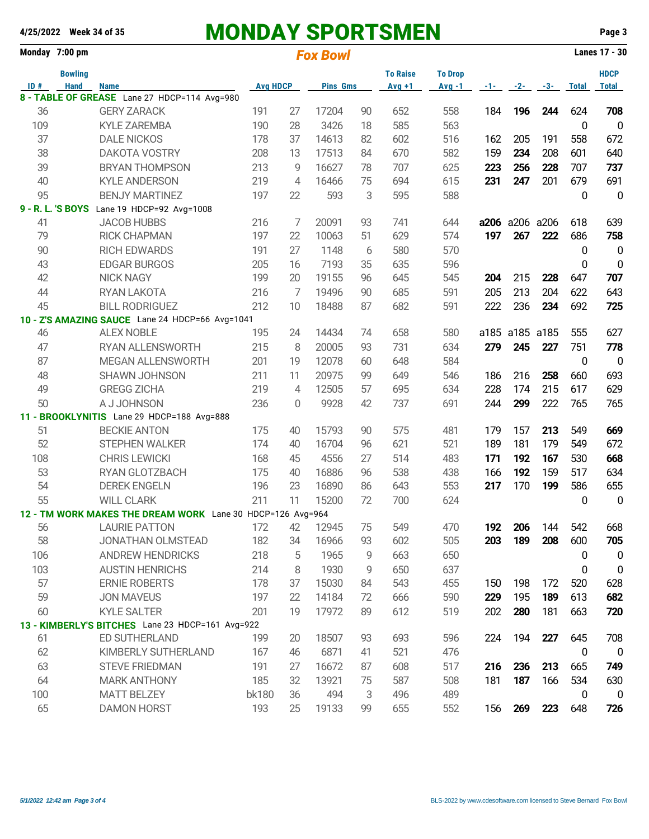|     | Monday 7:00 pm |                                                                    |                 |    | <b>Fox Bowl</b> |    |                 |                |     |                | Lanes 17 - 30 |                  |                  |
|-----|----------------|--------------------------------------------------------------------|-----------------|----|-----------------|----|-----------------|----------------|-----|----------------|---------------|------------------|------------------|
|     | <b>Bowling</b> |                                                                    | <b>Avg HDCP</b> |    | <b>Pins Gms</b> |    | <b>To Raise</b> | <b>To Drop</b> |     |                |               |                  | <b>HDCP</b>      |
| ID# | <b>Hand</b>    | <b>Name</b>                                                        |                 |    |                 |    | $Avg +1$        | $Avg -1$       |     | $-1$ $-2$      | $-3-$         | <b>Total</b>     | <b>Total</b>     |
| 36  |                | 8 - TABLE OF GREASE Lane 27 HDCP=114 Avg=980<br><b>GERY ZARACK</b> | 191             | 27 | 17204           | 90 | 652             | 558            | 184 | 196            | 244           | 624              | 708              |
| 109 |                | <b>KYLE ZAREMBA</b>                                                | 190             | 28 | 3426            | 18 | 585             | 563            |     |                |               | 0                | $\mathbf 0$      |
| 37  |                | <b>DALE NICKOS</b>                                                 | 178             | 37 | 14613           | 82 | 602             | 516            | 162 | 205            | 191           | 558              | 672              |
| 38  |                | <b>DAKOTA VOSTRY</b>                                               | 208             | 13 | 17513           | 84 | 670             | 582            | 159 | 234            | 208           | 601              | 640              |
|     |                |                                                                    |                 |    |                 |    |                 |                |     |                |               |                  |                  |
| 39  |                | <b>BRYAN THOMPSON</b>                                              | 213             | 9  | 16627           | 78 | 707             | 625            | 223 | 256            | 228           | 707              | 737              |
| 40  |                | <b>KYLE ANDERSON</b>                                               | 219             | 4  | 16466           | 75 | 694             | 615            | 231 | 247            | 201           | 679              | 691              |
| 95  |                | <b>BENJY MARTINEZ</b>                                              | 197             | 22 | 593             | 3  | 595             | 588            |     |                |               | 0                | $\overline{0}$   |
|     |                | 9 - R. L. 'S BOYS Lane 19 HDCP=92 Avg=1008                         |                 |    |                 |    |                 |                |     |                |               |                  |                  |
| 41  |                | <b>JACOB HUBBS</b>                                                 | 216             | 7  | 20091           | 93 | 741             | 644            |     | a206 a206 a206 |               | 618              | 639              |
| 79  |                | <b>RICK CHAPMAN</b>                                                | 197             | 22 | 10063           | 51 | 629             | 574            | 197 | 267            | 222           | 686              | 758              |
| 90  |                | <b>RICH EDWARDS</b>                                                | 191             | 27 | 1148            | 6  | 580             | 570            |     |                |               | 0                | $\overline{0}$   |
| 43  |                | <b>EDGAR BURGOS</b>                                                | 205             | 16 | 7193            | 35 | 635             | 596            |     |                |               | 0                | $\mathbf 0$      |
| 42  |                | <b>NICK NAGY</b>                                                   | 199             | 20 | 19155           | 96 | 645             | 545            | 204 | 215            | 228           | 647              | 707              |
| 44  |                | RYAN LAKOTA                                                        | 216             | 7  | 19496           | 90 | 685             | 591            | 205 | 213            | 204           | 622              | 643              |
| 45  |                | <b>BILL RODRIGUEZ</b>                                              | 212             | 10 | 18488           | 87 | 682             | 591            | 222 | 236            | 234           | 692              | 725              |
|     |                | 10 - Z'S AMAZING SAUCE Lane 24 HDCP=66 Avg=1041                    |                 |    |                 |    |                 |                |     |                |               |                  |                  |
| 46  |                | <b>ALEX NOBLE</b>                                                  | 195             | 24 | 14434           | 74 | 658             | 580            |     | a185 a185 a185 |               | 555              | 627              |
| 47  |                | RYAN ALLENSWORTH                                                   | 215             | 8  | 20005           | 93 | 731             | 634            | 279 | 245            | 227           | 751              | 778              |
| 87  |                | MEGAN ALLENSWORTH                                                  | 201             | 19 | 12078           | 60 | 648             | 584            |     |                |               | 0                | $\overline{0}$   |
| 48  |                | SHAWN JOHNSON                                                      | 211             | 11 | 20975           | 99 | 649             | 546            | 186 | 216            | 258           | 660              | 693              |
| 49  |                | <b>GREGG ZICHA</b>                                                 | 219             | 4  | 12505           | 57 | 695             | 634            | 228 | 174            | 215           | 617              | 629              |
| 50  |                | A J JOHNSON                                                        | 236             | 0  | 9928            | 42 | 737             | 691            | 244 | 299            | 222           | 765              | 765              |
|     |                | 11 - BROOKLYNITIS Lane 29 HDCP=188 Avg=888                         |                 |    |                 |    |                 |                |     |                |               |                  |                  |
| 51  |                | <b>BECKIE ANTON</b>                                                | 175             | 40 | 15793           | 90 | 575             | 481            | 179 | 157            | 213           | 549              | 669              |
| 52  |                | <b>STEPHEN WALKER</b>                                              | 174             | 40 | 16704           | 96 | 621             | 521            | 189 | 181            | 179           | 549              | 672              |
| 108 |                | <b>CHRIS LEWICKI</b>                                               | 168             | 45 | 4556            | 27 | 514             | 483            | 171 | 192            | 167           | 530              | 668              |
| 53  |                | RYAN GLOTZBACH                                                     | 175             | 40 | 16886           | 96 | 538             | 438            | 166 | 192            | 159           | 517              | 634              |
| 54  |                | <b>DEREK ENGELN</b>                                                | 196             | 23 | 16890           | 86 | 643             | 553            | 217 | 170            | 199           | 586              | 655              |
| 55  |                | <b>WILL CLARK</b>                                                  | 211             | 11 | 15200           | 72 | 700             | 624            |     |                |               | 0                | $\mathbf 0$      |
|     |                | 12 - TM WORK MAKES THE DREAM WORK Lane 30 HDCP=126 Avg=964         |                 |    |                 |    |                 |                |     |                |               |                  |                  |
| 56  |                | <b>LAURIE PATTON</b>                                               | 172             | 42 | 12945           | 75 | 549             | 470            | 192 | 206            | 144           | 542              | 668              |
| 58  |                | JONATHAN OLMSTEAD                                                  | 182             | 34 | 16966           | 93 | 602             | 505            | 203 | 189            | 208           | 600              | 705              |
| 106 |                | <b>ANDREW HENDRICKS</b>                                            | 218             | 5  | 1965            | 9  | 663             | 650            |     |                |               | 0                | $\boldsymbol{0}$ |
| 103 |                | <b>AUSTIN HENRICHS</b>                                             | 214             | 8  | 1930            | 9  | 650             | 637            |     |                |               | $\boldsymbol{0}$ | $\mathbf 0$      |
| 57  |                | <b>ERNIE ROBERTS</b>                                               | 178             | 37 | 15030           | 84 | 543             | 455            | 150 | 198            | 172           | 520              | 628              |
| 59  |                | <b>JON MAVEUS</b>                                                  | 197             | 22 | 14184           | 72 | 666             | 590            | 229 | 195            | 189           | 613              | 682              |
|     |                |                                                                    |                 |    |                 |    |                 |                |     |                |               |                  |                  |
| 60  |                | <b>KYLE SALTER</b>                                                 | 201             | 19 | 17972           | 89 | 612             | 519            | 202 | 280            | 181           | 663              | 720              |
|     |                | 13 - KIMBERLY'S BITCHES Lane 23 HDCP=161 Avg=922<br>ED SUTHERLAND  | 199             |    | 18507           | 93 | 693             | 596            | 224 | 194            | 227           | 645              | 708              |
| 61  |                |                                                                    |                 | 20 |                 |    |                 |                |     |                |               |                  |                  |
| 62  |                | KIMBERLY SUTHERLAND                                                | 167             | 46 | 6871            | 41 | 521             | 476            |     |                |               | 0                | $\overline{0}$   |
| 63  |                | <b>STEVE FRIEDMAN</b>                                              | 191             | 27 | 16672           | 87 | 608             | 517            | 216 | 236            | 213           | 665              | 749              |
| 64  |                | <b>MARK ANTHONY</b>                                                | 185             | 32 | 13921           | 75 | 587             | 508            | 181 | 187            | 166           | 534              | 630              |
| 100 |                | <b>MATT BELZEY</b>                                                 | bk180           | 36 | 494             | 3  | 496             | 489            |     |                |               | $\mathbf 0$      | $\mathbf 0$      |
| 65  |                | <b>DAMON HORST</b>                                                 | 193             | 25 | 19133           | 99 | 655             | 552            | 156 | 269            | 223           | 648              | 726              |